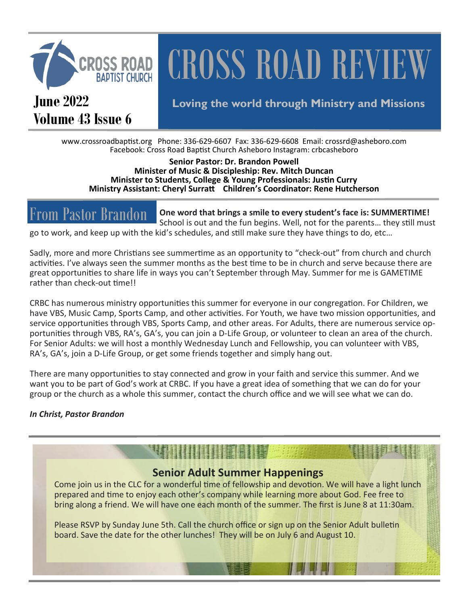

# **CROSS ROAD REVIEW**

**Volume 43 Issue 6**

## **June 2022 Loving the world through Ministry and Missions**

www.crossroadbaptist.org Phone: 336-629-6607 Fax: 336-629-6608 Email: crossrd@asheboro.com Facebook: Cross Road Baptist Church Asheboro Instagram: crbcasheboro

**Senior Pastor: Dr. Brandon Powell Minister of Music & Discipleship: Rev. Mitch Duncan Minister to Students, College & Young Professionals: Justin Curry Ministry Assistant: Cheryl Surratt Children's Coordinator: Rene Hutcherson**

**One word that brings a smile to every student's face is: SUMMERTIME!**  School is out and the fun begins. Well, not for the parents… they still must go to work, and keep up with the kid's schedules, and still make sure they have things to do, etc… From Pastor Brandon

Sadly, more and more Christians see summertime as an opportunity to "check-out" from church and church activities. I've always seen the summer months as the best time to be in church and serve because there are great opportunities to share life in ways you can't September through May. Summer for me is GAMETIME rather than check-out time!!

CRBC has numerous ministry opportunities this summer for everyone in our congregation. For Children, we have VBS, Music Camp, Sports Camp, and other activities. For Youth, we have two mission opportunities, and service opportunities through VBS, Sports Camp, and other areas. For Adults, there are numerous service opportunities through VBS, RA's, GA's, you can join a D-Life Group, or volunteer to clean an area of the church. For Senior Adults: we will host a monthly Wednesday Lunch and Fellowship, you can volunteer with VBS, RA's, GA's, join a D-Life Group, or get some friends together and simply hang out.

There are many opportunities to stay connected and grow in your faith and service this summer. And we want you to be part of God's work at CRBC. If you have a great idea of something that we can do for your group or the church as a whole this summer, contact the church office and we will see what we can do.

#### *In Christ, Pastor Brandon*

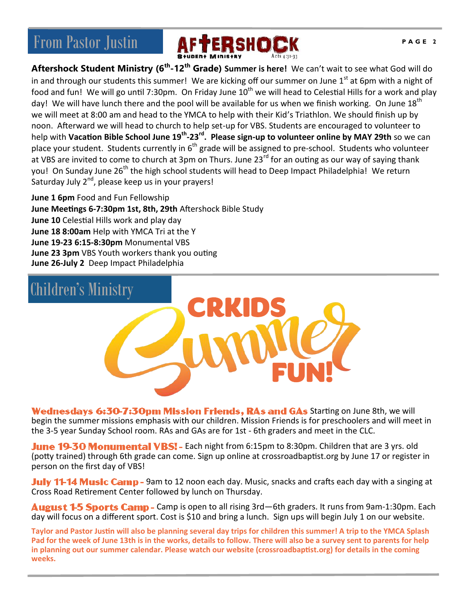

**Aftershock Student Ministry (6th -12th Grade) Summer is here!** We can't wait to see what God will do in and through our students this summer! We are kicking off our summer on June  $1<sup>st</sup>$  at 6pm with a night of food and fun! We will go until 7:30pm. On Friday June  $10^{th}$  we will head to Celestial Hills for a work and play day! We will have lunch there and the pool will be available for us when we finish working. On June 18<sup>th</sup> we will meet at 8:00 am and head to the YMCA to help with their Kid's Triathlon. We should finish up by noon. Afterward we will head to church to help set-up for VBS. Students are encouraged to volunteer to help with **Vacation Bible School June 19th -23rd . Please sign-up to volunteer online by MAY 29th** so we can place your student. Students currently in  $6<sup>th</sup>$  grade will be assigned to pre-school. Students who volunteer at VBS are invited to come to church at 3pm on Thurs. June 23<sup>rd</sup> for an outing as our way of saying thank you! On Sunday June 26<sup>th</sup> the high school students will head to Deep Impact Philadelphia! We return Saturday July 2<sup>nd</sup>, please keep us in your prayers!

**June 1 6pm** Food and Fun Fellowship **June Meetings 6-7:30pm 1st, 8th, 29th** Aftershock Bible Study **June 10** Celestial Hills work and play day **June 18 8:00am** Help with YMCA Tri at the Y **June 19-23 6:15-8:30pm** Monumental VBS **June 23 3pm** VBS Youth workers thank you outing **June 26-July 2** Deep Impact Philadelphia



Wednesdays 6:30-7:30pm Mission Friends, RAs and GAs Starting on June 8th, we will begin the summer missions emphasis with our children. Mission Friends is for preschoolers and will meet in the 3-5 year Sunday School room. RAs and GAs are for 1st - 6th graders and meet in the CLC.

June 19-30 Monumental VBSI - Each night from 6:15pm to 8:30pm. Children that are 3 yrs. old (potty trained) through 6th grade can come. Sign up online at crossroadbaptist.org by June 17 or register in person on the first day of VBS!

July 11-14 Music Camp - 9am to 12 noon each day. Music, snacks and crafts each day with a singing at Cross Road Retirement Center followed by lunch on Thursday.

August 1-5 Sports Camp - Camp is open to all rising 3rd-6th graders. It runs from 9am-1:30pm. Each day will focus on a different sport. Cost is \$10 and bring a lunch. Sign ups will begin July 1 on our website.

**Taylor and Pastor Justin will also be planning several day trips for children this summer! A trip to the YMCA Splash Pad for the week of June 13th is in the works, details to follow. There will also be a survey sent to parents for help in planning out our summer calendar. Please watch our website (crossroadbaptist.org) for details in the coming weeks.**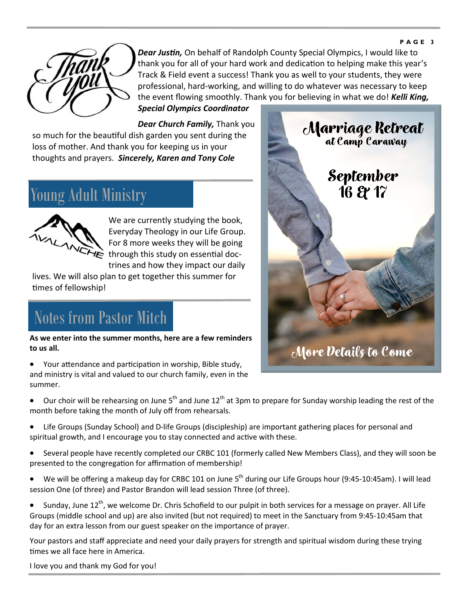#### **P A G E 3**



*Dear Justin,* On behalf of Randolph County Special Olympics, I would like to thank you for all of your hard work and dedication to helping make this year's Track & Field event a success! Thank you as well to your students, they were professional, hard-working, and willing to do whatever was necessary to keep the event flowing smoothly. Thank you for believing in what we do! *Kelli King,* 

*Special Olympics Coordinator*

*Dear Church Family,* Thank you so much for the beautiful dish garden you sent during the loss of mother. And thank you for keeping us in your thoughts and prayers. *Sincerely, Karen and Tony Cole*

## Young Adult Ministry



We are currently studying the book, Everyday Theology in our Life Group. For 8 more weeks they will be going through this study on essential doctrines and how they impact our daily

lives. We will also plan to get together this summer for times of fellowship!

## Notes from Pastor Mitch

**As we enter into the summer months, here are a few reminders to us all.**

• Your attendance and participation in worship, Bible study, and ministry is vital and valued to our church family, even in the summer.

• Our choir will be rehearsing on June  $5<sup>th</sup>$  and June 12<sup>th</sup> at 3pm to prepare for Sunday worship leading the rest of the month before taking the month of July off from rehearsals.

- Life Groups (Sunday School) and D-life Groups (discipleship) are important gathering places for personal and spiritual growth, and I encourage you to stay connected and active with these.
- Several people have recently completed our CRBC 101 (formerly called New Members Class), and they will soon be presented to the congregation for affirmation of membership!
- We will be offering a makeup day for CRBC 101 on June  $5<sup>th</sup>$  during our Life Groups hour (9:45-10:45am). I will lead session One (of three) and Pastor Brandon will lead session Three (of three).
- Sunday, June 12<sup>th</sup>, we welcome Dr. Chris Schofield to our pulpit in both services for a message on prayer. All Life Groups (middle school and up) are also invited (but not required) to meet in the Sanctuary from 9:45-10:45am that day for an extra lesson from our guest speaker on the importance of prayer.

Your pastors and staff appreciate and need your daily prayers for strength and spiritual wisdom during these trying times we all face here in America.

I love you and thank my God for you!